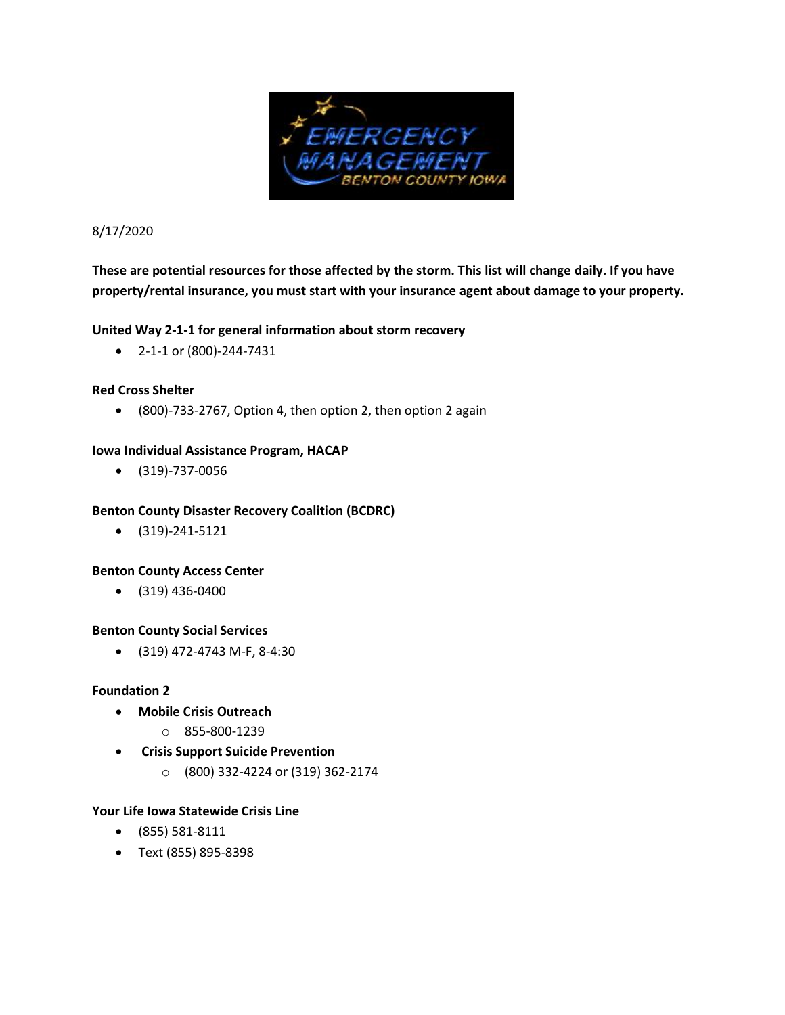

8/17/2020

# **These are potential resources for those affected by the storm. This list will change daily. If you have property/rental insurance, you must start with your insurance agent about damage to your property.**

# **United Way 2-1-1 for general information about storm recovery**

• 2-1-1 or (800)-244-7431

# **Red Cross Shelter**

• (800)-733-2767, Option 4, then option 2, then option 2 again

## **Iowa Individual Assistance Program, HACAP**

• (319)-737-0056

## **Benton County Disaster Recovery Coalition (BCDRC)**

• (319)-241-5121

## **Benton County Access Center**

• (319) 436-0400

## **Benton County Social Services**

• (319) 472-4743 M-F, 8-4:30

## **Foundation 2**

- **Mobile Crisis Outreach**
	- o 855-800-1239
- **Crisis Support Suicide Prevention**
	- o (800) 332-4224 or (319) 362-2174

## **Your Life Iowa Statewide Crisis Line**

- (855) 581-8111
- Text (855) 895-8398